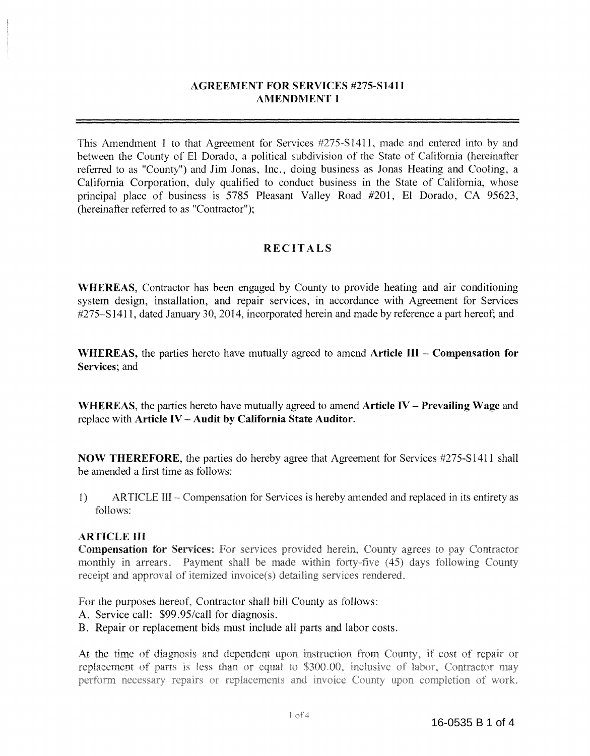# **AGREEMENT FOR SERVICES #275-Sl411 AMENDMENT 1**

This Amendment I to that Agreement for Services #275-S1411, made and entered into by and between the County of El Dorado, a political subdivision of the State of California (hereinafter referred to as "County") and Jim Jonas, Inc., doing business as Jonas Heating and Cooling, a California Corporation, duly qualified to conduct business in the State of California, whose principal place of business is 5785 Pleasant Valley Road #201, El Dorado, CA 95623, (hereinafter referred to as "Contractor");

# **RECITALS**

**WHEREAS,** Contractor has been engaged by County to provide heating and air conditioning system design, installation, and repair services, in accordance with Agreement for Services #275-S 1411, dated January 30, 2014, incorporated herein and made by reference a part hereof; and

**WHEREAS,** the parties hereto have mutually agreed to amend **Article III - Compensation for Services;** and

**WHEREAS,** the parties hereto have mutually agreed to amend **Article IV - Prevailing Wage** and replace with **Article IV - Audit by California State Auditor.** 

**NOW THEREFORE,** the parties do hereby agree that Agreement for Services #275-S1411 shall be amended a first time as follows:

1) ARTICLE III – Compensation for Services is hereby amended and replaced in its entirety as follows:

#### ARTICLE III

**Compensation for Services:** For services provided herein, County agrees to pay Contractor monthly in arrears. Payment shall be made within forty-five (45) days following County receipt and approval of itemized invoice(s) detailing services rendered.

For the purposes hereof, Contractor shall bill County as follows:

- A. Service call: \$99.95/call for diagnosis.
- B. Repair or replacement bids must include all parts and labor costs.

At the time of diagnosis and dependent upon instruction from County, if cost of repair or replacement of parts is less than or equal to \$300.00, inclusive of labor, Contractor may perform necessary repairs or replacements and invoice County upon completion of work.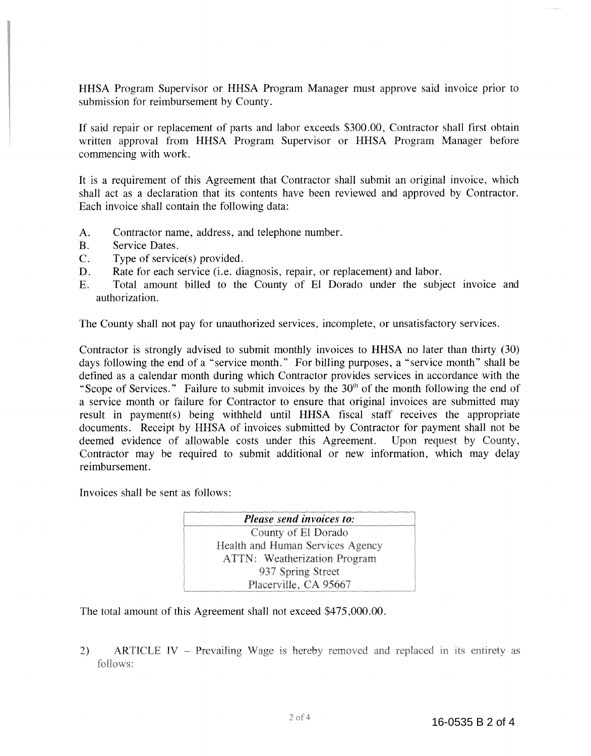HHSA Program Supervisor or HHSA Program Manager must approve said invoice prior to submission for reimbursement by County.

If said repair or replacement of parts and labor exceeds \$300.00, Contractor shall first obtain written approval from HHSA Program Supervisor or HHSA Program Manager before commencing with work.

It is a requirement of this Agreement that Contractor shall submit an original invoice, which shall act as a declaration that its contents have been reviewed and approved by Contractor. Each invoice shall contain the following data:

- A. Contractor name, address, and telephone number.
- B. Service Dates.
- $C.$  Type of service(s) provided.
- D. Rate for each service (i.e. diagnosis, repair, or replacement) and labor.
- E. Total amount billed to the County of El Dorado under the subject invoice and authorization.

The County shall not pay for unauthorized services, incomplete, or unsatisfactory services.

Contractor is strongly advised to submit monthly invoices to HHSA no later than thirty (30) days following the end of a "service month." For billing purposes, a "service month" shall be defined as a calendar month during which Contractor provides services in accordance with the "Scope of Services." Failure to submit invoices by the  $30<sup>th</sup>$  of the month following the end of a service month or failure for Contractor to ensure that original invoices are submitted may result in payment(s) being withheld until HHSA fiscal staff receives the appropriate documents. Receipt by HHSA of invoices submitted by Contractor for payment shall not be deemed evidence of allowable costs under this Agreement. Upon request by County, deemed evidence of allowable costs under this Agreement. Contractor may be required to submit additional or new information, which may delay reimbursement.

Invoices shall be sent as follows:

| <b>Please send invoices to:</b>     |
|-------------------------------------|
| County of El Dorado                 |
| Health and Human Services Agency    |
| <b>ATTN:</b> Weatherization Program |
| 937 Spring Street                   |
| Placerville, CA 95667               |

The total amount of this Agreement shall not exceed \$475,000.00.

2) ARTICLE IV – Prevailing Wage is hereby removed and replaced in its entirety as follows: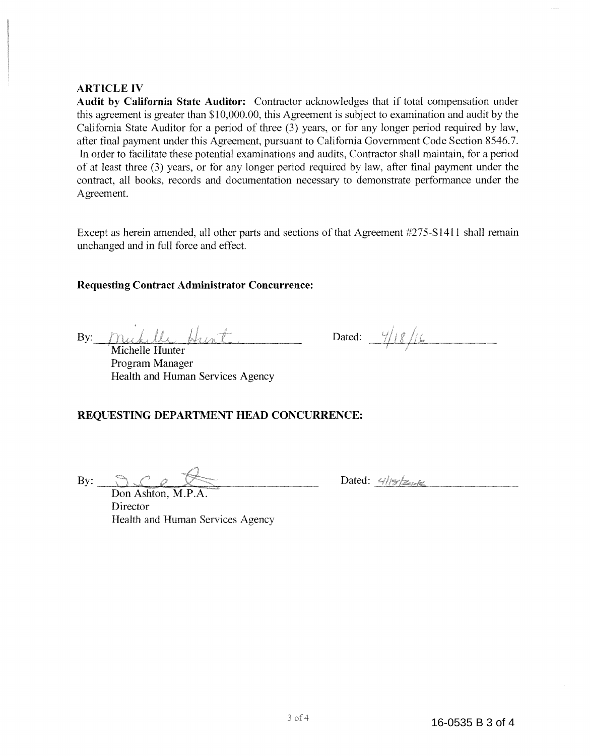#### **ARTICLE IV**

**Audit by California State Auditor:** Contractor acknowledges that if total compensation under this agreement is greater than \$10,000.00, this Agreement is subject to examination and audit by the California State Auditor for a period of three (3) years, or for any longer period required by law, after final payment under this Agreement, pursuant to California Government Code Section 8546.7. In order to facilitate these potential examinations and audits, Contractor shall maintain, for a period of at least three (3) years, or for any longer period required by law, after final payment under the contract, all books, records and documentation necessary to demonstrate performance under the Agreement.

Except as herein amended, all other parts and sections of that Agreement #275-S1411 shall remain unchanged and in full force and effect.

### **Requesting Contract Administrator Concurrence:**

muhille Hunt  $\mathbf{By:}$ 

Michelle Hunter Program Manager Health and Human Services Agency

Dated:  $\frac{4}{18}$ /

# **REQUESTING DEPARTMENT HEAD CONCURRENCE:**

By:  $\bigcap_{\mathcal{L}}$ 

Don Ashton, M.P. Director Health and Human Services Agency  $Dated: 418286$